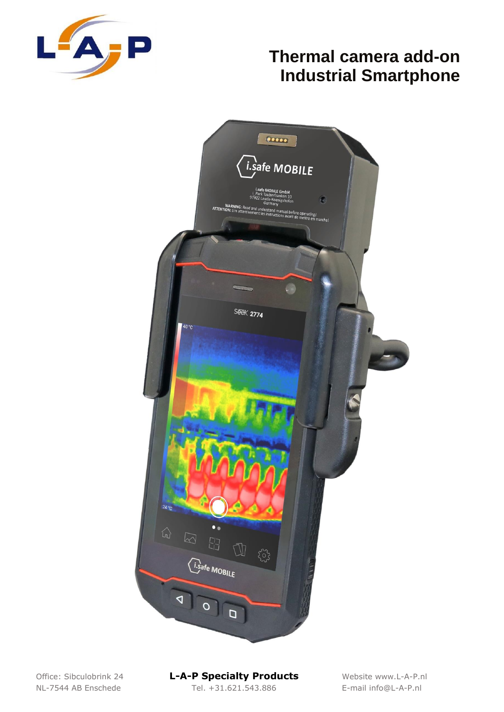



NL-7544 AB Enschede Tel. +31.621.543.886 E-mail info@L-A-P.nl

#### Office: Sibculobrink 24 **L-A-P Specialty Products** Website www.L-A-P.nl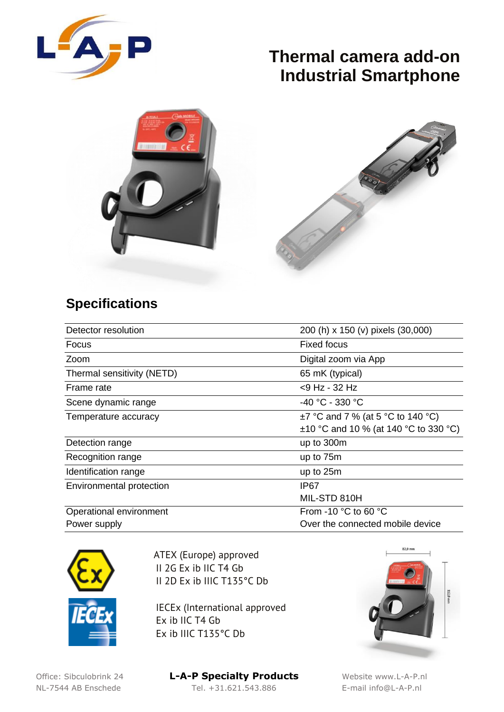



#### **Specifications**

| Detector resolution        | 200 (h) x 150 (v) pixels (30,000)          |
|----------------------------|--------------------------------------------|
| Focus                      | <b>Fixed focus</b>                         |
| Zoom                       | Digital zoom via App                       |
| Thermal sensitivity (NETD) | 65 mK (typical)                            |
| Frame rate                 | <9 Hz - 32 Hz                              |
| Scene dynamic range        | -40 °C - 330 °C                            |
| Temperature accuracy       | $\pm$ 7 °C and 7 % (at 5 °C to 140 °C)     |
|                            | $\pm$ 10 °C and 10 % (at 140 °C to 330 °C) |
| Detection range            | up to 300m                                 |
| Recognition range          | up to 75m                                  |
| Identification range       | up to 25m                                  |
| Environmental protection   | IP67                                       |
|                            | MIL-STD 810H                               |
| Operational environment    | From -10 $^{\circ}$ C to 60 $^{\circ}$ C   |
| Power supply               | Over the connected mobile device           |



ATEX (Europe) approved II 2G Ex ib IIC T4 Gb II 2D Ex ib IIIC T135°C Db

IECEx (International approved Ex ib IIC T4 Gb Ex ib IIIC T135°C Db



Office: Sibculobrink 24 **L-A-P Specialty Products** Website www.L-A-P.nl NL-7544 AB Enschede Tel. +31.621.543.886 E-mail info@L-A-P.nl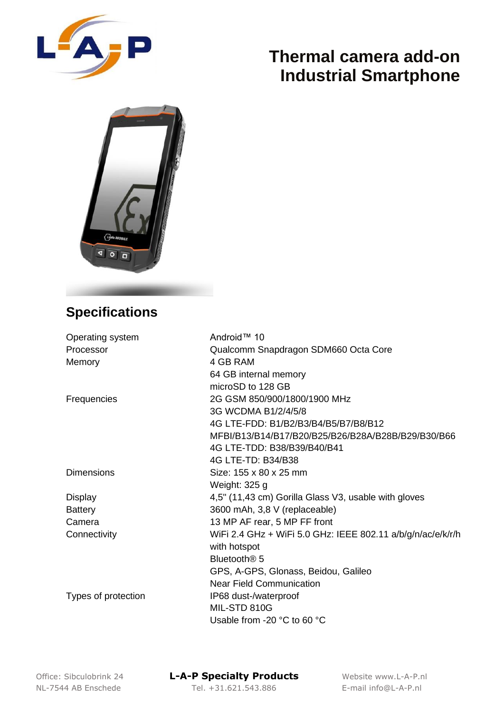



### **Specifications**

| Operating system    | Android™ 10                                                 |
|---------------------|-------------------------------------------------------------|
| Processor           | Qualcomm Snapdragon SDM660 Octa Core                        |
| Memory              | 4 GB RAM                                                    |
|                     | 64 GB internal memory                                       |
|                     | microSD to 128 GB                                           |
| Frequencies         | 2G GSM 850/900/1800/1900 MHz                                |
|                     | 3G WCDMA B1/2/4/5/8                                         |
|                     | 4G LTE-FDD: B1/B2/B3/B4/B5/B7/B8/B12                        |
|                     | MFBI/B13/B14/B17/B20/B25/B26/B28A/B28B/B29/B30/B66          |
|                     | 4G LTE-TDD: B38/B39/B40/B41                                 |
|                     | 4G LTE-TD: B34/B38                                          |
| <b>Dimensions</b>   | Size: 155 x 80 x 25 mm                                      |
|                     | Weight: 325 g                                               |
| Display             | 4,5" (11,43 cm) Gorilla Glass V3, usable with gloves        |
| <b>Battery</b>      | 3600 mAh, 3,8 V (replaceable)                               |
| Camera              | 13 MP AF rear, 5 MP FF front                                |
| Connectivity        | WiFi 2.4 GHz + WiFi 5.0 GHz: IEEE 802.11 a/b/g/n/ac/e/k/r/h |
|                     | with hotspot                                                |
|                     | Bluetooth <sup>®</sup> 5                                    |
|                     | GPS, A-GPS, Glonass, Beidou, Galileo                        |
|                     | <b>Near Field Communication</b>                             |
| Types of protection | IP68 dust-/waterproof                                       |
|                     | MIL-STD 810G                                                |
|                     | Usable from -20 °C to 60 °C                                 |

Office: Sibculobrink 24 **L-A-P Specialty Products** Website www.L-A-P.nl